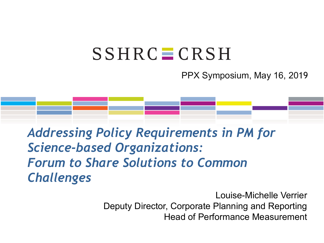## $SSHRC = CRSH$

PPX Symposium, May 16, 2019

#### *Addressing Policy Requirements in PM for Science-based Organizations: Forum to Share Solutions to Common Challenges*

Louise-Michelle Verrier Deputy Director, Corporate Planning and Reporting Head of Performance Measurement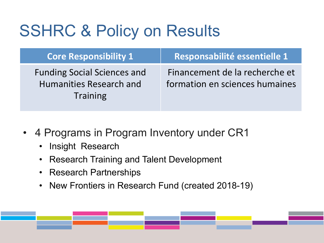## SSHRC & Policy on Results

| <b>Core Responsibility 1</b>                                                            | Responsabilité essentielle 1                                     |
|-----------------------------------------------------------------------------------------|------------------------------------------------------------------|
| <b>Funding Social Sciences and</b><br><b>Humanities Research and</b><br><b>Training</b> | Financement de la recherche et<br>formation en sciences humaines |

- 4 Programs in Program Inventory under CR1
	- Insight Research
	- Research Training and Talent Development
	- Research Partnerships
	- New Frontiers in Research Fund (created 2018-19)

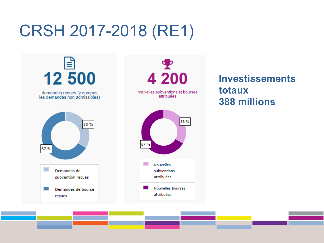## CRSH 2017-2018 (RE1)

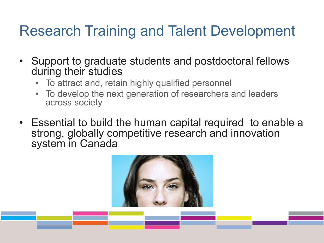#### Research Training and Talent Development

- Support to graduate students and postdoctoral fellows during their studies
	- To attract and, retain highly qualified personnel
	- To develop the next generation of researchers and leaders across society
- Essential to build the human capital required to enable a strong, globally competitive research and innovation system in Canada

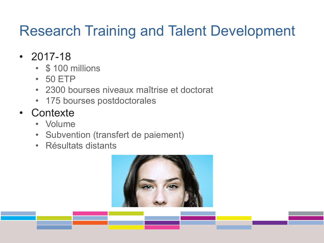#### Research Training and Talent Development

- $\cdot$  2017-18
	- \$ 100 millions
	- 50 ETP
	- 2300 bourses niveaux maîtrise et doctorat
	- 175 bourses postdoctorales
- Contexte
	- Volume
	- Subvention (transfert de paiement)
	- Résultats distants

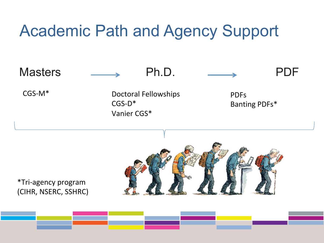#### Academic Path and Agency Support

Masters **EXECUTE:** Ph.D. **EXECUTE:** PDF

CGS-M\* Doctoral Fellowships CGS-D\* Vanier CGS\*





\*Tri-agency program (CIHR, NSERC, SSHRC)

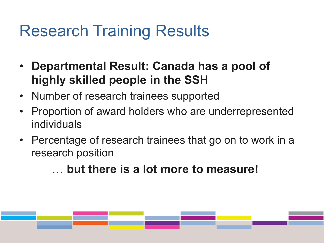### Research Training Results

- **Departmental Result: Canada has a pool of highly skilled people in the SSH**
- Number of research trainees supported
- Proportion of award holders who are underrepresented individuals
- Percentage of research trainees that go on to work in a research position

… **but there is a lot more to measure!** 

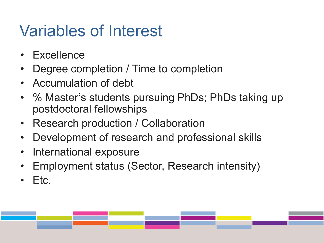# Variables of Interest

- **Excellence**
- Degree completion / Time to completion
- Accumulation of debt
- % Master's students pursuing PhDs; PhDs taking up postdoctoral fellowships
- Research production / Collaboration
- Development of research and professional skills
- International exposure
- Employment status (Sector, Research intensity)
- Etc.

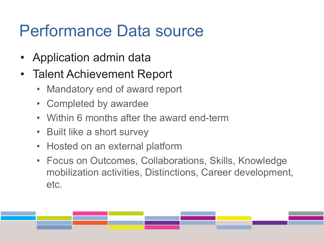#### Performance Data source

- Application admin data
- Talent Achievement Report
	- Mandatory end of award report
	- Completed by awardee
	- Within 6 months after the award end-term
	- Built like a short survey
	- Hosted on an external platform
	- Focus on Outcomes, Collaborations, Skills, Knowledge mobilization activities, Distinctions, Career development, etc.

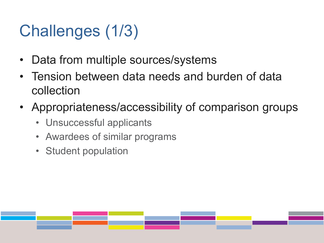# Challenges (1/3)

- Data from multiple sources/systems
- Tension between data needs and burden of data collection
- Appropriateness/accessibility of comparison groups
	- Unsuccessful applicants
	- Awardees of similar programs
	- Student population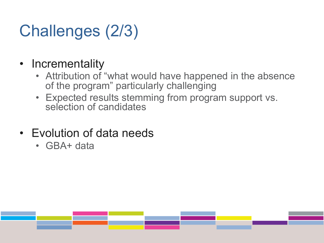# Challenges (2/3)

#### • Incrementality

- Attribution of "what would have happened in the absence of the program" particularly challenging
- Expected results stemming from program support vs. selection of candidates
- Evolution of data needs
	- GBA+ data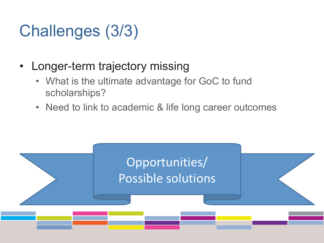# Challenges (3/3)

- Longer-term trajectory missing
	- What is the ultimate advantage for GoC to fund scholarships?
	- Need to link to academic & life long career outcomes

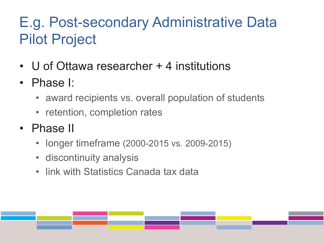#### E.g. Post-secondary Administrative Data Pilot Project

- U of Ottawa researcher + 4 institutions
- Phase I:
	- award recipients vs. overall population of students
	- retention, completion rates
- Phase II
	- longer timeframe (2000-2015 vs. 2009-2015)
	- discontinuity analysis
	- link with Statistics Canada tax data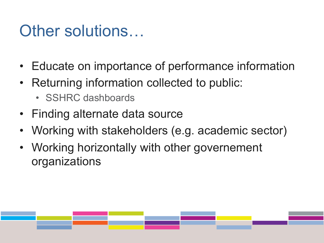#### Other solutions...

- Educate on importance of performance information
- Returning information collected to public:
	- SSHRC dashboards
- Finding alternate data source
- Working with stakeholders (e.g. academic sector)
- Working horizontally with other governement organizations